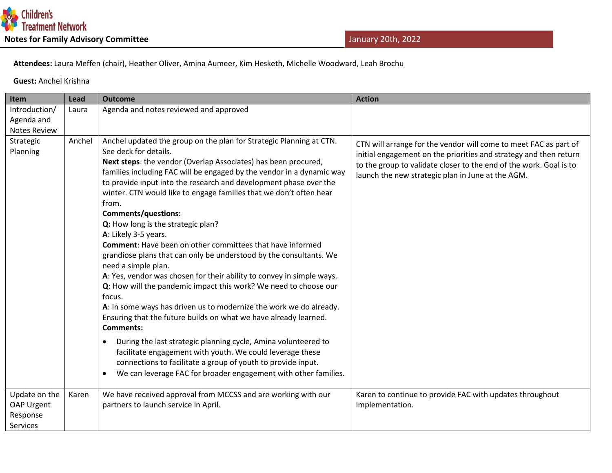

 **Attendees:** Laura Meffen (chair), Heather Oliver, Amina Aumeer, Kim Hesketh, Michelle Woodward, Leah Brochu

 **Guest:** Anchel Krishna

| Item                        | Lead   | <b>Outcome</b>                                                                                                                                                                                                                                                                                                                                                                                                                                                                                                                                                                                                                                                                                                                                                                                                                                                                                                                                                                                                                                                                                                                                                                                                                                                            | <b>Action</b>                                                                                                                                                                                                                                                    |
|-----------------------------|--------|---------------------------------------------------------------------------------------------------------------------------------------------------------------------------------------------------------------------------------------------------------------------------------------------------------------------------------------------------------------------------------------------------------------------------------------------------------------------------------------------------------------------------------------------------------------------------------------------------------------------------------------------------------------------------------------------------------------------------------------------------------------------------------------------------------------------------------------------------------------------------------------------------------------------------------------------------------------------------------------------------------------------------------------------------------------------------------------------------------------------------------------------------------------------------------------------------------------------------------------------------------------------------|------------------------------------------------------------------------------------------------------------------------------------------------------------------------------------------------------------------------------------------------------------------|
| Introduction/               | Laura  | Agenda and notes reviewed and approved                                                                                                                                                                                                                                                                                                                                                                                                                                                                                                                                                                                                                                                                                                                                                                                                                                                                                                                                                                                                                                                                                                                                                                                                                                    |                                                                                                                                                                                                                                                                  |
| Agenda and                  |        |                                                                                                                                                                                                                                                                                                                                                                                                                                                                                                                                                                                                                                                                                                                                                                                                                                                                                                                                                                                                                                                                                                                                                                                                                                                                           |                                                                                                                                                                                                                                                                  |
| <b>Notes Review</b>         |        |                                                                                                                                                                                                                                                                                                                                                                                                                                                                                                                                                                                                                                                                                                                                                                                                                                                                                                                                                                                                                                                                                                                                                                                                                                                                           |                                                                                                                                                                                                                                                                  |
| Strategic<br>Planning       | Anchel | Anchel updated the group on the plan for Strategic Planning at CTN.<br>See deck for details.<br>Next steps: the vendor (Overlap Associates) has been procured,<br>families including FAC will be engaged by the vendor in a dynamic way<br>to provide input into the research and development phase over the<br>winter. CTN would like to engage families that we don't often hear<br>from.<br><b>Comments/questions:</b><br>Q: How long is the strategic plan?<br>A: Likely 3-5 years.<br><b>Comment:</b> Have been on other committees that have informed<br>grandiose plans that can only be understood by the consultants. We<br>need a simple plan.<br>A: Yes, vendor was chosen for their ability to convey in simple ways.<br>Q: How will the pandemic impact this work? We need to choose our<br>focus.<br>A: In some ways has driven us to modernize the work we do already.<br>Ensuring that the future builds on what we have already learned.<br><b>Comments:</b><br>During the last strategic planning cycle, Amina volunteered to<br>$\bullet$<br>facilitate engagement with youth. We could leverage these<br>connections to facilitate a group of youth to provide input.<br>We can leverage FAC for broader engagement with other families.<br>$\bullet$ | CTN will arrange for the vendor will come to meet FAC as part of<br>initial engagement on the priorities and strategy and then return<br>to the group to validate closer to the end of the work. Goal is to<br>launch the new strategic plan in June at the AGM. |
| Update on the<br>OAP Urgent | Karen  | We have received approval from MCCSS and are working with our<br>partners to launch service in April.                                                                                                                                                                                                                                                                                                                                                                                                                                                                                                                                                                                                                                                                                                                                                                                                                                                                                                                                                                                                                                                                                                                                                                     | Karen to continue to provide FAC with updates throughout<br>implementation.                                                                                                                                                                                      |
| Response<br><b>Services</b> |        |                                                                                                                                                                                                                                                                                                                                                                                                                                                                                                                                                                                                                                                                                                                                                                                                                                                                                                                                                                                                                                                                                                                                                                                                                                                                           |                                                                                                                                                                                                                                                                  |